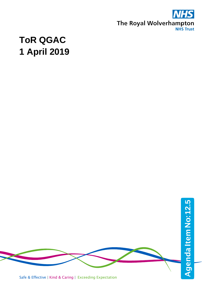

## **ToR QGAC 1 April 2019**

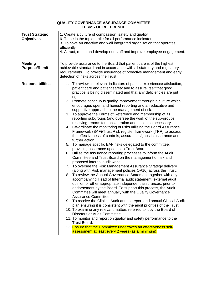| <b>QUALITY GOVERNANCE ASSURANCE COMMITTEE</b><br><b>TERMS OF REFERENCE</b> |                                                                                                                                                                                                                                                                                                                                                                                                                                                                                                                                                                                                                                                                                                                                                                                                                                                                                                                                                                                                                                                                                                                                                                                                                                                                                                                                                                                                                                                                                                                                                                                                                                                                                                                                                                                                                                                                                                                                                                                                                                                                                             |  |
|----------------------------------------------------------------------------|---------------------------------------------------------------------------------------------------------------------------------------------------------------------------------------------------------------------------------------------------------------------------------------------------------------------------------------------------------------------------------------------------------------------------------------------------------------------------------------------------------------------------------------------------------------------------------------------------------------------------------------------------------------------------------------------------------------------------------------------------------------------------------------------------------------------------------------------------------------------------------------------------------------------------------------------------------------------------------------------------------------------------------------------------------------------------------------------------------------------------------------------------------------------------------------------------------------------------------------------------------------------------------------------------------------------------------------------------------------------------------------------------------------------------------------------------------------------------------------------------------------------------------------------------------------------------------------------------------------------------------------------------------------------------------------------------------------------------------------------------------------------------------------------------------------------------------------------------------------------------------------------------------------------------------------------------------------------------------------------------------------------------------------------------------------------------------------------|--|
| <b>Trust Strategic</b><br><b>Objectives</b>                                | 1. Create a culture of compassion, safety and quality.<br>6. To be in the top quartile for all performance indicators.<br>3. To have an effective and well integrated organisation that operates<br>efficiently.<br>4. Attract, retain and develop our staff and improve employee engagement.                                                                                                                                                                                                                                                                                                                                                                                                                                                                                                                                                                                                                                                                                                                                                                                                                                                                                                                                                                                                                                                                                                                                                                                                                                                                                                                                                                                                                                                                                                                                                                                                                                                                                                                                                                                               |  |
| <b>Meeting</b><br><b>Purpose/Remit</b>                                     | To provide assurance to the Board that patient care is of the highest<br>achievable standard and in accordance with all statutory and regulatory<br>requirements. To provide assurance of proactive management and early<br>detection of risks across the Trust.                                                                                                                                                                                                                                                                                                                                                                                                                                                                                                                                                                                                                                                                                                                                                                                                                                                                                                                                                                                                                                                                                                                                                                                                                                                                                                                                                                                                                                                                                                                                                                                                                                                                                                                                                                                                                            |  |
| <b>Responsibilities</b>                                                    | 1. To review all relevant indicators of patient experience/satisfaction,<br>patient care and patient safety and to assure itself that good<br>practice is being disseminated and that any deficiencies are put<br>right.<br>2. Promote continuous quality improvement through a culture which<br>encourages open and honest reporting and an educative and<br>supportive approach to the management of risk.<br>3. To approve the Terms of Reference and membership of its<br>reporting subgroups (and oversee the work of the sub-groups,<br>receiving reports for consideration and action as necessary.<br>4. Co-ordinate the monitoring of risks utilising the Board Assurance<br>Framework (BAF)/Trust Risk register framework (TRR) to assess<br>the effectiveness of controls, assurances/gaps in assurance and<br>further action.<br>5. To manage specific BAF risks delegated to the committee,<br>providing assurance updates to Trust Board.<br>6. Utilise the assurance reporting processes to inform the Audit<br>Committee and Trust Board on the management of risk and<br>proposed internal audit work.<br>7. To oversee the Risk Management Assurance Strategy delivery<br>(along with Risk management policies OP10) across the Trust.<br>8. To review the Annual Governance Statement together with any<br>accompanying Head of Internal audit statement, external audit<br>opinion or other appropriate independent assurances, prior to<br>endorsement by the Board. To support this process, the Audit<br>Committee will meet annually with the Quality Governance<br>Assurance Committee.<br>9. To receive the Clinical Audit annual report and annual Clinical Audit<br>plan ensuring it is consistent with the audit priorities of the Trust.<br>10. To examine any relevant matters referred to it by the Board of<br>Directors or Audit Committee.<br>11. To monitor and report on quality and safety performance to the<br>Trust Board.<br>12. Ensure that the Committee undertakes an effectiveness self-<br>assessment at least every 2 years (as a minimum). |  |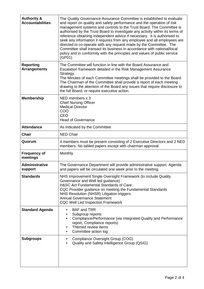| <b>Authority &amp;</b><br><b>Accountabilities</b> | The Quality Governance Assurance Committee is established to evaluate<br>and report on quality and safety performance and the operation of risk<br>management systems and controls to the Trust Board. The Committee is<br>authorised by the Trust Board to investigate any activity within its terms of<br>reference obtaining independent advice if necessary. It is authorised to<br>seek any information it requires from any employee and all employees are<br>directed to co-operate with any request made by the Committee. The<br>Committee shall transact its business in accordance with national/local<br>policy and in conformity with the principles and values of public service<br>(GP01). |
|---------------------------------------------------|-----------------------------------------------------------------------------------------------------------------------------------------------------------------------------------------------------------------------------------------------------------------------------------------------------------------------------------------------------------------------------------------------------------------------------------------------------------------------------------------------------------------------------------------------------------------------------------------------------------------------------------------------------------------------------------------------------------|
| <b>Reporting</b><br><b>Arrangements</b>           | The Committee will function in line with the Board Assurance and<br>Escalation framework detailed in the Risk Management Assurance<br>Strategy.<br>The Minutes of each Committee meetings shall be provided to the Board.<br>The Chairman of the Committee shall provide a report of each meeting<br>drawing to the attention of the Board any issues that require disclosure to<br>the full Board, or require executive action.                                                                                                                                                                                                                                                                          |
| <b>Membership</b>                                 | NED members x 3<br><b>Chief Nursing Officer</b><br><b>Medical Director</b><br>COO<br><b>CEO</b><br><b>Head of Governance</b>                                                                                                                                                                                                                                                                                                                                                                                                                                                                                                                                                                              |
| <b>Attendance</b>                                 | As indicated by the Committee                                                                                                                                                                                                                                                                                                                                                                                                                                                                                                                                                                                                                                                                             |
| <b>Chair</b>                                      | <b>NED Chair</b>                                                                                                                                                                                                                                                                                                                                                                                                                                                                                                                                                                                                                                                                                          |
| Quorum                                            | 4 members must be present consisting of 2 Executive Directors and 2 NED<br>members. No tabled papers except with chairman approval.                                                                                                                                                                                                                                                                                                                                                                                                                                                                                                                                                                       |
| <b>Frequency of</b><br>meetings                   | Monthly                                                                                                                                                                                                                                                                                                                                                                                                                                                                                                                                                                                                                                                                                                   |
| Administrative<br>support                         | The Governance Department will provide administrative support. Agenda<br>and papers will be circulated one week prior to the meeting.                                                                                                                                                                                                                                                                                                                                                                                                                                                                                                                                                                     |
| <b>Standards</b>                                  | NHS Improvement Single Oversight Framework (to include Quality<br>Governance and Well led guidance)<br>H&SC Act Fundamental Standards of Care<br>CQC Provider guidance on meeting the Fundamental Standards<br>NHS Resolution (NHSR) Litigation triggers<br><b>Annual Governance Statement</b><br><b>CQC Well Led Inspection Framework</b>                                                                                                                                                                                                                                                                                                                                                                |
| <b>Standard Agenda</b>                            | <b>BAF and TRR</b><br>$\bullet$<br>Subgroup reports<br>٠<br>Compliance/Performance (via Integrated Quality and Performance<br>$\bullet$<br>report, Compliance reports)<br>Themed review items<br>٠<br>Committee action log<br>٠                                                                                                                                                                                                                                                                                                                                                                                                                                                                           |
| <b>Subgroups</b>                                  | Compliance Oversight Group (COG)<br>٠<br>Quality and Safety Intelligence Group (QSIG)<br>$\bullet$                                                                                                                                                                                                                                                                                                                                                                                                                                                                                                                                                                                                        |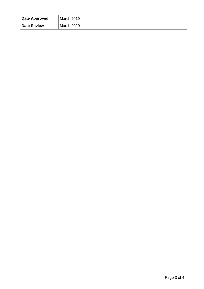| Date Approved      | March 2019        |
|--------------------|-------------------|
| <b>Date Review</b> | <b>March 2020</b> |